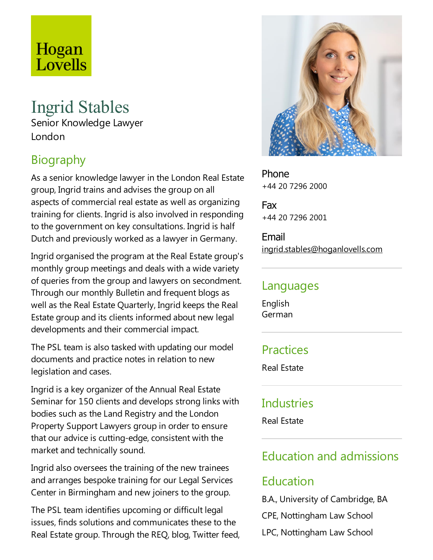# Hogan<br>Lovells

# Ingrid Stables Senior Knowledge Lawyer London

## Biography

As a senior knowledge lawyer in the London Real Estate group, Ingrid trains and advises the group on all aspects of commercial real estate as well as organizing training for clients. Ingrid is also involved in responding to the government on key consultations. Ingrid is half Dutch and previously worked as alawyer in Germany.

Ingrid organised the program at the Real Estate group's monthly group meetings and deals with a wide variety of queries from the group and lawyers on secondment. Through our monthly Bulletin and frequent blogs as well as the Real Estate Quarterly, Ingrid keeps the Real Estate group and its clients informed about new legal developments and their commercial impact.

The PSL team is also tasked with updating our model documents and practice notes in relation to new legislation and cases.

Ingrid is akey organizer of the Annual Real Estate Seminar for 150 clients and develops strong links with bodies such as the Land Registry and the London Property Support Lawyers group in order to ensure that our advice is cutting-edge, consistent with the market and technically sound.

Ingrid also oversees the training of the new trainees and arranges bespoke training for our Legal Services Center in Birmingham and new joiners to the group.

The PSL team identifies upcoming or difficult legal issues, finds solutions and communicates these to the Real Estate group. Through the REQ, blog, Twitter feed,



Phone +44 20 7296 2000

Fax +44 20 7296 2001

Email ingrid.stables@hoganlovells.com

#### Languages

English German

## Practices

Real Estate

## **Industries**

Real Estate

## Education and admissions

## Education

B.A., University of Cambridge, BA CPE, Nottingham Law School LPC, Nottingham Law School